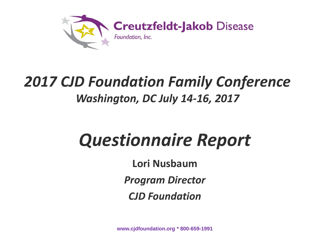

#### *2017 CJD Foundation Family Conference Washington, DC July 14-16, 2017*

### *Questionnaire Report*

**Lori Nusbaum**

*Program Director*

*CJD Foundation*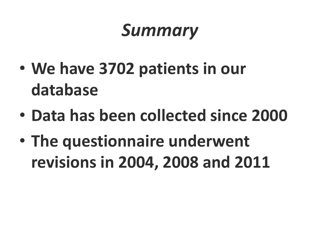### *Summary*

- **We have 3702 patients in our database**
- **Data has been collected since 2000**
- **The questionnaire underwent revisions in 2004, 2008 and 2011**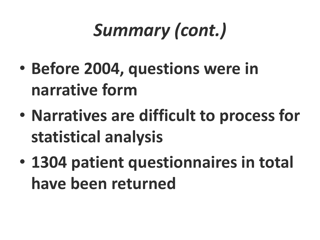# *Summary (cont.)*

- **Before 2004, questions were in narrative form**
- **Narratives are difficult to process for statistical analysis**
- **1304 patient questionnaires in total have been returned**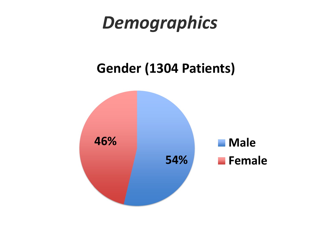### *Demographics*

#### **Gender (1304 Patients)**

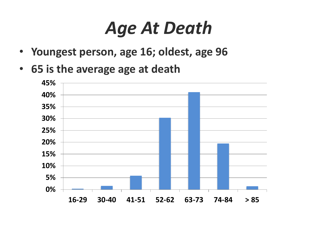### *Age At Death*

- **Youngest person, age 16; oldest, age 96**
- **65 is the average age at death**

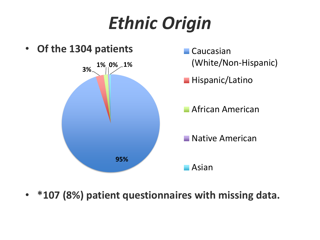# *Ethnic Origin*



• **\*107 (8%) patient questionnaires with missing data.**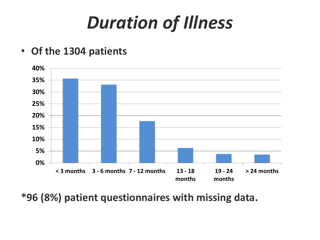# *Duration of Illness*

• **Of the 1304 patients**



**\*96 (8%) patient questionnaires with missing data.**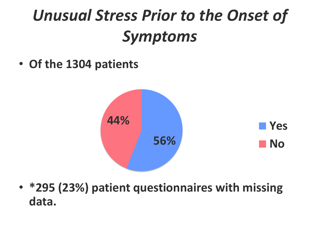### *Unusual Stress Prior to the Onset of Symptoms*

• **Of the 1304 patients**



• **\*295 (23%) patient questionnaires with missing data.**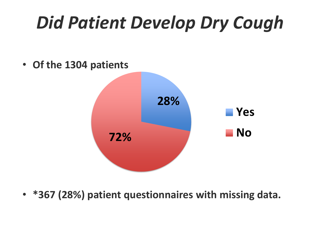# *Did Patient Develop Dry Cough*

• **Of the 1304 patients**



• **\*367 (28%) patient questionnaires with missing data.**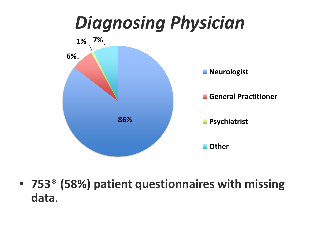

• **753\* (58%) patient questionnaires with missing data**.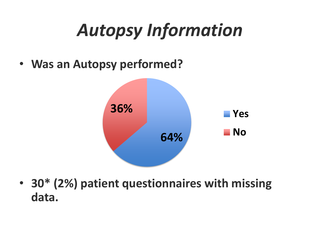# *Autopsy Information*

• **Was an Autopsy performed?**



• **30\* (2%) patient questionnaires with missing data.**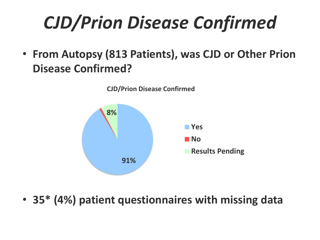# *CJD/Prion Disease Confirmed*

• **From Autopsy (813 Patients), was CJD or Other Prion Disease Confirmed?**



• **35\* (4%) patient questionnaires with missing data**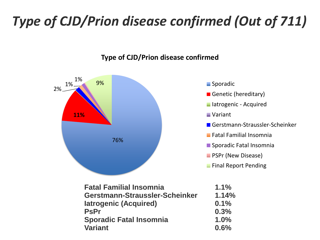#### *Type of CJD/Prion disease confirmed (Out of 711)*



#### **Type of CJD/Prion disease confirmed**

- **Sporadic**
- Genetic (hereditary)
- **Iatrogenic Acquired**
- **Variant**
- Gerstmann-Straussler-Scheinker
- Fatal Familial Insomnia
- Sporadic Fatal Insomnia
- **PSPr (New Disease)**
- **Final Report Pending**

| <b>Fatal Familial Insomnia</b> | $1.1\%$ |
|--------------------------------|---------|
| Gerstmann-Straussler-Scheinker | 1.14%   |
| latrogenic (Acquired)          | 0.1%    |
| <b>PsPr</b>                    | 0.3%    |
| <b>Sporadic Fatal Insomnia</b> | 1.0%    |
| <b>Variant</b>                 | 0.6%    |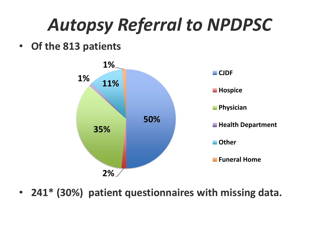# *Autopsy Referral to NPDPSC*

• **Of the 813 patients**



• **241\* (30%) patient questionnaires with missing data.**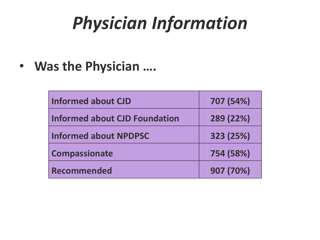# *Physician Information*

• **Was the Physician ….**

| <b>Informed about CJD</b>     | 707 (54%) |
|-------------------------------|-----------|
| Informed about CJD Foundation | 289 (22%) |
| <b>Informed about NPDPSC</b>  | 323 (25%) |
| <b>Compassionate</b>          | 754 (58%) |
| <b>Recommended</b>            | 907 (70%) |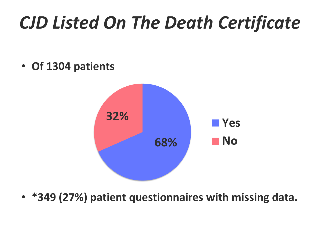# *CJD Listed On The Death Certificate*

• **Of 1304 patients**



• **\*349 (27%) patient questionnaires with missing data.**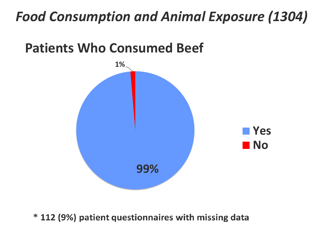#### *Food Consumption and Animal Exposure (1304)*

#### **Patients Who Consumed Beef**



\* 112 (9%) patient questionnaires with missing data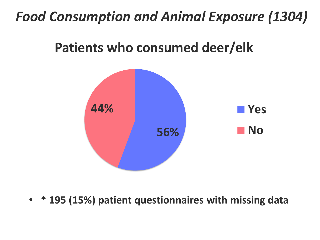#### *Food Consumption and Animal Exposure (1304)*

#### **Patients who consumed deer/elk**



• **\* 195 (15%) patient questionnaires with missing data**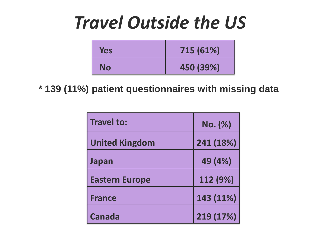### *Travel Outside the US*

| <b>Yes</b> | 715 (61%) |
|------------|-----------|
| No         | 450 (39%) |

**\* 139 (11%) patient questionnaires with missing data**

| <b>Travel to:</b>     | No. (%)   |
|-----------------------|-----------|
| <b>United Kingdom</b> | 241 (18%) |
| Japan                 | 49 (4%)   |
| <b>Eastern Europe</b> | 112 (9%)  |
| <b>France</b>         | 143 (11%) |
| <b>Canada</b>         | 219 (17%) |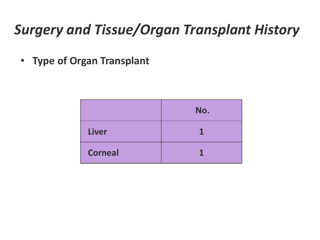#### *Surgery and Tissue/Organ Transplant History*

• **Type of Organ Transplant**

|                | No. |
|----------------|-----|
| <b>Liver</b>   |     |
| <b>Corneal</b> |     |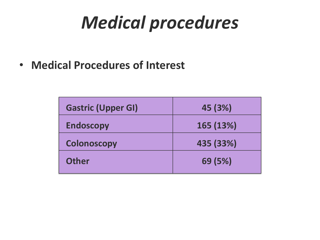# *Medical procedures*

• **Medical Procedures of Interest**

| <b>Gastric (Upper GI)</b> | 45 (3%)   |
|---------------------------|-----------|
| <b>Endoscopy</b>          | 165 (13%) |
| <b>Colonoscopy</b>        | 435 (33%) |
| <b>Other</b>              | 69 (5%)   |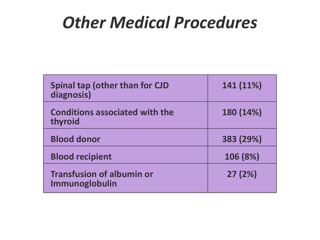#### *Other Medical Procedures*

| <b>Spinal tap (other than for CJD</b><br>diagnosis) | 141 (11%) |
|-----------------------------------------------------|-----------|
| <b>Conditions associated with the</b><br>thyroid    | 180 (14%) |
| <b>Blood donor</b>                                  | 383 (29%) |
| <b>Blood recipient</b>                              | 106 (8%)  |
| <b>Transfusion of albumin or</b><br>Immunoglobulin  | 27(2%)    |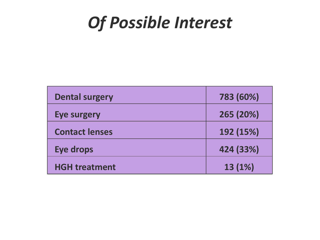#### *Of Possible Interest*

| <b>Dental surgery</b> | 783 (60%) |
|-----------------------|-----------|
| <b>Eye surgery</b>    | 265 (20%) |
| <b>Contact lenses</b> | 192 (15%) |
| <b>Eye drops</b>      | 424 (33%) |
| <b>HGH treatment</b>  | 13 (1%)   |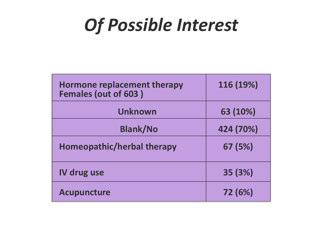### *Of Possible Interest*

| <b>Hormone replacement therapy</b><br>Females (out of 603) | 116 (19%) |
|------------------------------------------------------------|-----------|
| Unknown                                                    | 63 (10%)  |
| <b>Blank/No</b>                                            | 424 (70%) |
| <b>Homeopathic/herbal therapy</b>                          | 67 (5%)   |
| <b>IV drug use</b>                                         | 35 (3%)   |
| <b>Acupuncture</b>                                         | 72 (6%)   |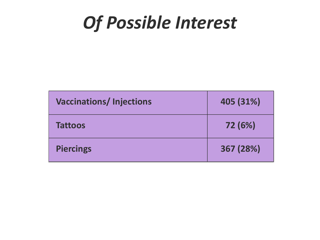### *Of Possible Interest*

| <b>Vaccinations/Injections</b> | 405 (31%) |
|--------------------------------|-----------|
| <b>Tattoos</b>                 | 72 (6%)   |
| <b>Piercings</b>               | 367 (28%) |